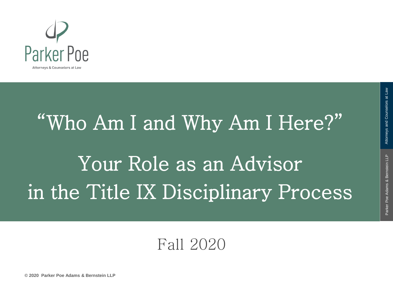

# "Who Am I and Why Am I Here?" Your Role as an Advisor in the Title IX Disciplinary Process

#### Fall 2020

Attorneys and Counselors at Law

**© 2020 Parker Poe Adams & Bernstein LLP**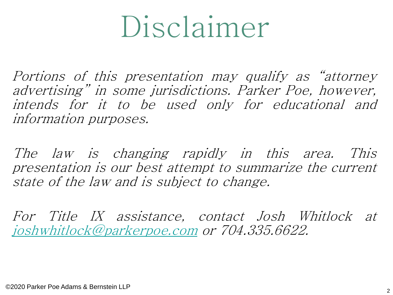# Disclaimer

Portions of this presentation may qualify as "attorney advertising" in some jurisdictions. Parker Poe, however, intends for it to be used only for educational and information purposes.

The law is changing rapidly in this area. This presentation is our best attempt to summarize the current state of the law and is subject to change.

For Title IX assistance, contact Josh Whitlock at [joshwhitlock@parkerpoe.com](mailto:joshwhitlock@parkerpoe.com) or 704.335.6622.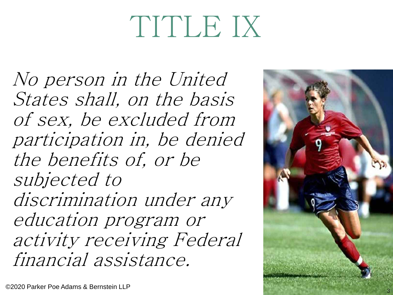# TITLE IX

No person in the United States shall, on the basis of sex, be excluded from participation in, be denied the benefits of, or be subjected to discrimination under any education program or activity receiving Federal financial assistance.

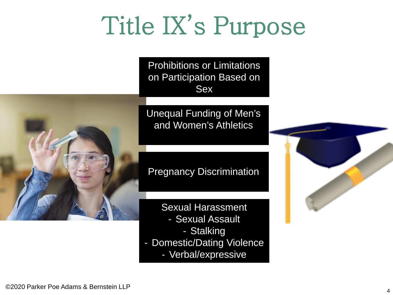## Title IX's Purpose

Prohibitions or Limitations on Participation Based on Sex



Unequal Funding of Men's and Women's Athletics

Pregnancy Discrimination

Sexual Harassment - Sexual Assault - Stalking - Domestic/Dating Violence - Verbal/expressive

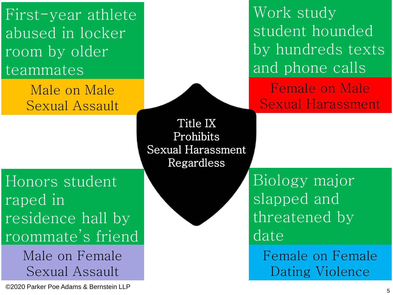First-year athlete abused in locker room by older teammates

> Male on Male Sexual Assault

Work study student hounded by hundreds texts and phone calls

Female on Male Sexual Harassment

Title IX Prohibits Sexual Harassment Regardless

Honors student raped in residence hall by roommate's friend

> Male on Female Sexual Assault

<sup>5</sup> ©2020 Parker Poe Adams & Bernstein LLP

Biology major slapped and threatened by date

> Female on Female Dating Violence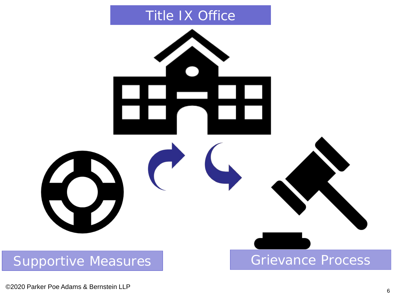#### Title IX Office



<sup>6</sup> ©2020 Parker Poe Adams & Bernstein LLP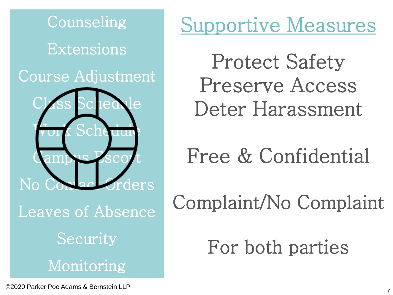

### Supportive Measures

Protect Safety Preserve Access Deter Harassment

Free & Confidential

Complaint/No Complaint

For both parties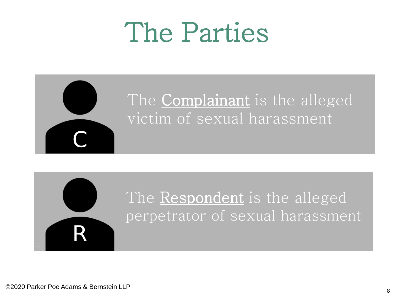## The Parties





R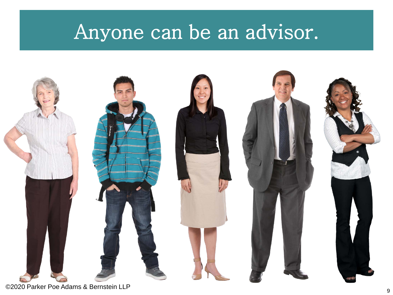### Anyone can be an advisor.

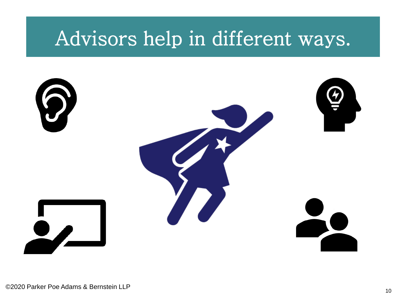### Advisors help in different ways.

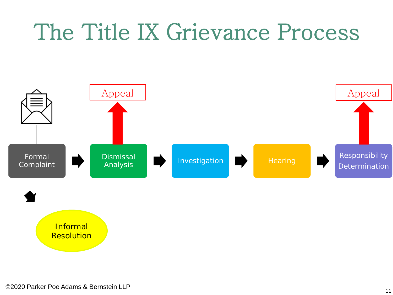### The Title IX Grievance Process

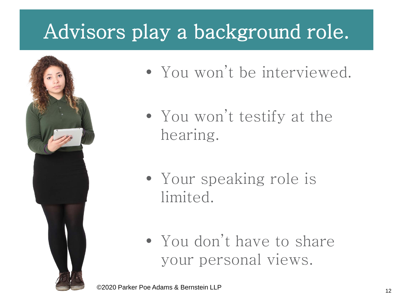### Advisors play a background role.



- You won't be interviewed.
- You won't testify at the hearing.
- Your speaking role is limited.
- You don't have to share your personal views.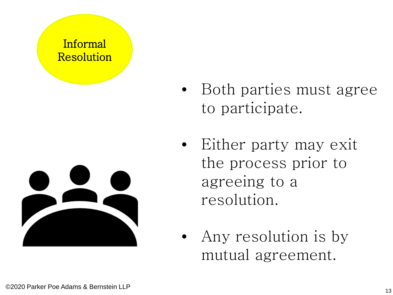#### Informal Resolution



- Both parties must agree to participate.
- Either party may exit the process prior to agreeing to a resolution.
- Any resolution is by mutual agreement.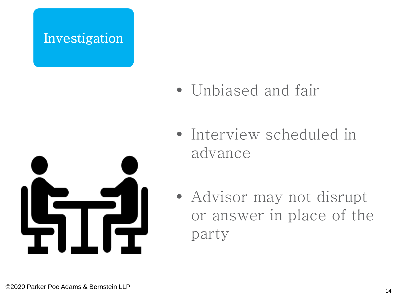#### Investigation







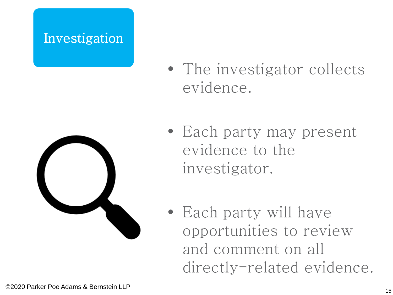#### Investigation





- Each party may present evidence to the investigator.
- Each party will have opportunities to review and comment on all directly-related evidence.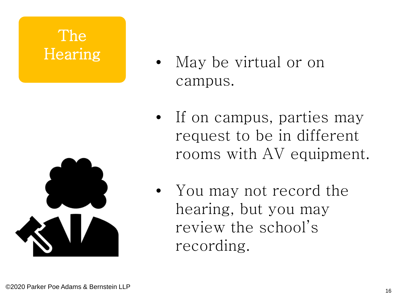# The



- Hearing May be virtual or on campus.
	- If on campus, parties may request to be in different rooms with AV equipment.
	- You may not record the hearing, but you may review the school's recording.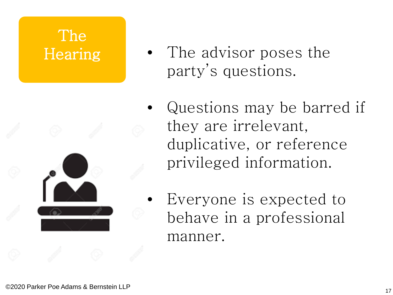# The



- Hearing The advisor poses the party's questions.
	- Questions may be barred if they are irrelevant, duplicative, or reference privileged information.
	- Everyone is expected to behave in a professional manner.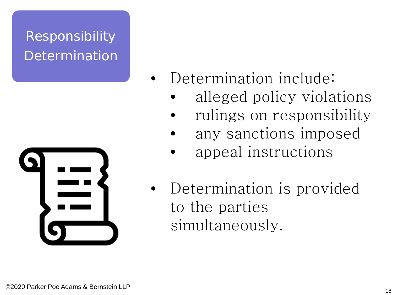### Responsibility Determination



- Determination include:
	- alleged policy violations
	- rulings on responsibility
	- any sanctions imposed
	- appeal instructions
	- Determination is provided to the parties simultaneously.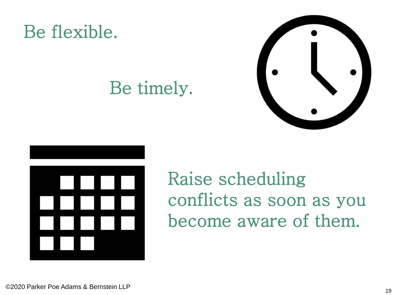

### Be timely.





Raise scheduling conflicts as soon as you become aware of them.